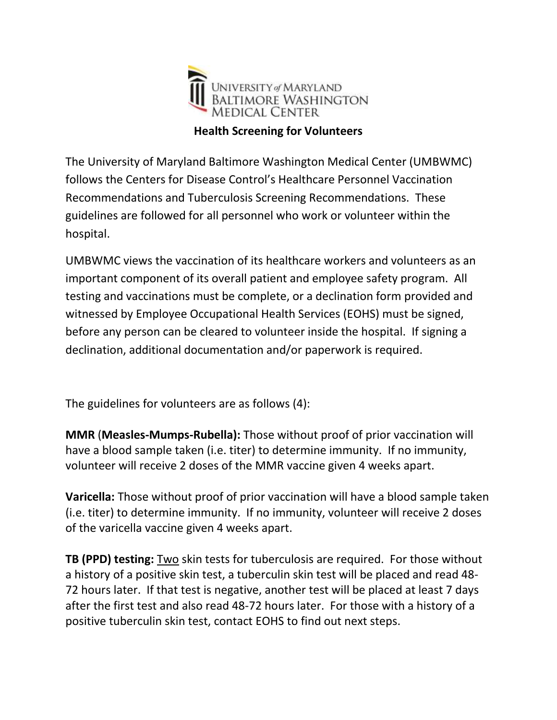

The University of Maryland Baltimore Washington Medical Center (UMBWMC) follows the Centers for Disease Control's Healthcare Personnel Vaccination Recommendations and Tuberculosis Screening Recommendations. These guidelines are followed for all personnel who work or volunteer within the hospital.

UMBWMC views the vaccination of its healthcare workers and volunteers as an important component of its overall patient and employee safety program. All testing and vaccinations must be complete, or a declination form provided and witnessed by Employee Occupational Health Services (EOHS) must be signed, before any person can be cleared to volunteer inside the hospital. If signing a declination, additional documentation and/or paperwork is required.

The guidelines for volunteers are as follows (4):

**MMR** (**Measles-Mumps-Rubella):** Those without proof of prior vaccination will have a blood sample taken (i.e. titer) to determine immunity. If no immunity, volunteer will receive 2 doses of the MMR vaccine given 4 weeks apart.

**Varicella:** Those without proof of prior vaccination will have a blood sample taken (i.e. titer) to determine immunity. If no immunity, volunteer will receive 2 doses of the varicella vaccine given 4 weeks apart.

**TB (PPD) testing:** Two skin tests for tuberculosis are required. For those without a history of a positive skin test, a tuberculin skin test will be placed and read 48- 72 hours later. If that test is negative, another test will be placed at least 7 days after the first test and also read 48-72 hours later. For those with a history of a positive tuberculin skin test, contact EOHS to find out next steps.